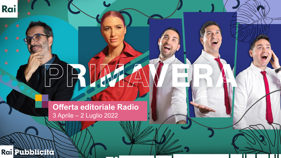## PRIA

**Offerta editoriale Radio** 3 Aprile – 2 Luglio 2022

Rai Pubblicità

Rai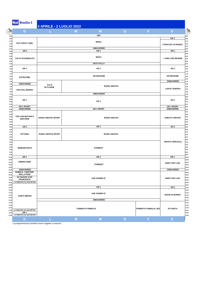| D                                              | 3 APRILE - 2 LUGLIO 2022   | M                       | M                    | G | $\mathbf V$                  | S                         |  |
|------------------------------------------------|----------------------------|-------------------------|----------------------|---|------------------------------|---------------------------|--|
|                                                |                            |                         | GR1                  |   |                              |                           |  |
|                                                |                            |                         |                      |   |                              | GR <sub>1</sub>           |  |
|                                                |                            |                         | <b>MOKA</b>          |   |                              |                           |  |
| EST-OVEST (TgR)                                |                            |                         |                      |   |                              | I PODCAST DI RADIO1       |  |
|                                                |                            |                         | ONDAVERDE            |   |                              |                           |  |
| GR <sub>1</sub>                                |                            |                         | GR <sub>1</sub>      |   |                              | GR <sub>1</sub>           |  |
|                                                |                            |                         | <b>MOKA</b>          |   |                              |                           |  |
| <b>CULTO EVANGELICO</b>                        |                            |                         |                      |   |                              | <b>L'ARIA CHE RESPIRI</b> |  |
|                                                |                            |                         | <b>JACK FOLLA</b>    |   |                              |                           |  |
| GR <sub>1</sub>                                |                            |                         | GR <sub>1</sub>      |   |                              | GR <sub>1</sub>           |  |
|                                                |                            |                         |                      |   |                              |                           |  |
|                                                |                            |                         | <b>GR REGIONE</b>    |   |                              | <b>GR REGIONE</b>         |  |
| <b>EXTRATIME</b>                               |                            |                         |                      |   |                              |                           |  |
| ONDAVERDE                                      |                            |                         |                      |   |                              | ONDAVERDE                 |  |
|                                                | TUTTI<br>IN CLASSE         |                         | <b>RADIO ANCH'IO</b> |   |                              |                           |  |
| <b>VOCI DAL MONDO</b>                          |                            |                         |                      |   |                              | <b>CAFFE' EUROPA</b>      |  |
|                                                |                            |                         | ONDAVERDE            |   |                              |                           |  |
|                                                |                            |                         |                      |   |                              |                           |  |
| GR <sub>1</sub>                                |                            |                         | GR <sub>1</sub>      |   |                              | GR <sub>1</sub>           |  |
| <b>GR 1 SPORT</b>                              |                            |                         |                      |   |                              | <b>GR 1 SPORT</b>         |  |
| ONDAVERDE                                      |                            |                         | <b>GR 1 SPORT</b>    |   |                              | ONDAVERDE                 |  |
|                                                |                            |                         |                      |   |                              |                           |  |
| TOP CAR MOTORI E                               | <b>RADIO ANCH'IO SPORT</b> |                         | <b>RADIO ANCH'IO</b> |   |                              | <b>SABATO ANCH'IO</b>     |  |
| <b>DINTORNI</b>                                |                            |                         |                      |   |                              |                           |  |
|                                                |                            |                         |                      |   |                              |                           |  |
| GR <sub>1</sub>                                |                            |                         | GR <sub>1</sub>      |   |                              | GR <sub>1</sub>           |  |
|                                                |                            |                         |                      |   |                              |                           |  |
| <b>VITTORIA</b>                                | <b>RADIO ANCH'IO SPORT</b> |                         | <b>RADIO ANCH'IO</b> |   |                              |                           |  |
|                                                |                            |                         |                      |   |                              |                           |  |
|                                                |                            |                         |                      |   |                              | <b>INVIATO SPECIALE</b>   |  |
| <b>MANGIAFUOCO</b>                             |                            |                         | <b>FORREST</b>       |   |                              |                           |  |
|                                                |                            |                         |                      |   |                              |                           |  |
|                                                |                            |                         |                      |   |                              |                           |  |
| GR <sub>1</sub>                                |                            |                         | GR <sub>1</sub>      |   |                              | GR <sub>1</sub>           |  |
| <b>GREEN ZONE</b>                              |                            |                         |                      |   |                              | <b>MARY POP LIVE</b>      |  |
|                                                |                            |                         | <b>FORREST</b>       |   |                              |                           |  |
| ONDAVERDE                                      |                            |                         |                      |   |                              | ONDAVERDE                 |  |
| <b>BABELE. I SENTIERI</b><br><b>DELLA FEDE</b> |                            |                         |                      |   |                              |                           |  |
| <b>IN VIAGGIO CON</b>                          |                            |                         | CHE GIORNO E'        |   |                              | <b>MARY POP LIVE</b>      |  |
| <b>FRANCESCO</b>                               |                            |                         |                      |   |                              |                           |  |
| LA FINESTRA SU SAN PIETRO                      |                            |                         |                      |   |                              |                           |  |
|                                                |                            |                         | GR <sub>1</sub>      |   |                              | GR <sub>1</sub>           |  |
|                                                |                            |                         |                      |   |                              |                           |  |
|                                                |                            |                         | CHE GIORNO E'        |   |                              | <b>RADIO DI BORDO</b>     |  |
| <b>SANTA MESSA</b>                             |                            |                         |                      |   |                              |                           |  |
|                                                |                            |                         |                      |   |                              |                           |  |
|                                                |                            |                         | ONDAVERDE            |   |                              |                           |  |
|                                                |                            |                         |                      |   |                              |                           |  |
| LA FINESTRA SU SAN PIETRO                      |                            | <b>FORMATO FAMIGLIA</b> |                      |   | <b>FORMATO FAMIGLIA LIFE</b> | <b>ETA BETA</b>           |  |
| GR <sub>1</sub><br>LA FINESTRA SU SAN PIETRO   |                            |                         |                      |   |                              |                           |  |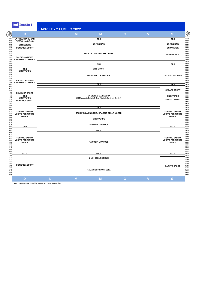| D                                                             |                                              | M                                                                 | М                         | G | $\overline{\mathsf{V}}$ | S                                                             |  |
|---------------------------------------------------------------|----------------------------------------------|-------------------------------------------------------------------|---------------------------|---|-------------------------|---------------------------------------------------------------|--|
| <b>LA FINESTRA SU SAN</b><br>PIETRO - ANGELUS                 |                                              |                                                                   | GR <sub>1</sub>           |   |                         | GR <sub>1</sub>                                               |  |
| <b>GR REGIONE</b>                                             |                                              |                                                                   | <b>GR REGIONE</b>         |   |                         | <b>GR REGIONE</b>                                             |  |
| <b>DOMENICA SPORT</b>                                         |                                              |                                                                   |                           |   |                         | <b>ONDAVERDE</b>                                              |  |
| <b>CALCIO: ANTICIPO</b><br><b>CAMPIONATO SERIE A</b>          |                                              |                                                                   | SPORTELLO ITALIA RECOVERY |   |                         | <b>IN PRIMA FILA</b>                                          |  |
|                                                               |                                              |                                                                   | GR1                       |   |                         | GR <sub>1</sub>                                               |  |
| <b>GR1</b><br><b>ONDAVERDE</b>                                |                                              |                                                                   | <b>GR1SPORT</b>           |   |                         |                                                               |  |
| <b>CALCIO: ANTICIPO</b>                                       |                                              | UN GIORNO DA PECORA                                               |                           |   |                         |                                                               |  |
| <b>CAMPIONATO SERIE A</b>                                     |                                              |                                                                   | GR <sub>1</sub>           |   |                         | GR <sub>1</sub>                                               |  |
|                                                               | <b>DOMENICA SPORT</b>                        |                                                                   |                           |   |                         |                                                               |  |
| GR1                                                           |                                              |                                                                   | UN GIORNO DA PECORA       |   |                         | ONDAVERDE                                                     |  |
| <b>ONDAVERDE</b><br><b>DOMENICA SPORT</b>                     |                                              | (6-29/5, eccetto 9,16,23/5: Giro d'Italia. Sulle strade del giro) |                           |   |                         |                                                               |  |
|                                                               |                                              |                                                                   | GR <sub>1</sub>           |   |                         |                                                               |  |
| TUTTO IL CALCIO<br><b>MINUTO PER MINUTO</b><br><b>SERIE A</b> | JACK FOLLA UN DJ NEL BRACCIO DELLA MORTE     |                                                                   |                           |   |                         | TUTTO IL CALCIO<br><b>MINUTO PER MINUTO</b><br><b>SERIE B</b> |  |
|                                                               |                                              | <b>ONDAVERDE</b>                                                  |                           |   |                         |                                                               |  |
| GR 1                                                          |                                              | RADIO1 IN VIVAVOCE                                                |                           |   |                         |                                                               |  |
|                                                               | GR <sub>1</sub><br><b>RADIO1 IN VIVAVOCE</b> |                                                                   |                           |   |                         |                                                               |  |
| TUTTO IL CALCIO<br><b>MINUTO PER MINUTO</b><br><b>SERIE A</b> |                                              |                                                                   |                           |   |                         |                                                               |  |
| GR <sub>1</sub>                                               |                                              |                                                                   | GR <sub>1</sub>           |   |                         | GR <sub>1</sub>                                               |  |
|                                                               | IL MIX DELLE CINQUE                          |                                                                   |                           |   |                         |                                                               |  |
| <b>DOMENICA SPORT</b>                                         | <b>ITALIA SOTTO INCHIESTA</b>                |                                                                   |                           |   |                         | <b>SABATO SPORT</b>                                           |  |
| D                                                             |                                              | M                                                                 | М                         | G | V                       | S                                                             |  |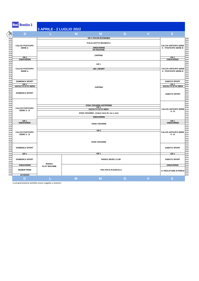| D                                            |                                                                 | M | М                                            | G | $\overline{\mathsf{V}}$ | S                                                     |  |  |
|----------------------------------------------|-----------------------------------------------------------------|---|----------------------------------------------|---|-------------------------|-------------------------------------------------------|--|--|
|                                              |                                                                 |   | <b>GR 1 FOCUS ECONOMIA</b>                   |   |                         |                                                       |  |  |
|                                              |                                                                 |   |                                              |   |                         |                                                       |  |  |
| <b>CALCIO POSTICIPO</b>                      |                                                                 |   | <b>ITALIA SOTTO INCHIESTA</b>                |   |                         | <b>CALCIO ANTICIPO SERIE</b>                          |  |  |
| <b>SERIE A</b>                               |                                                                 |   | ONDAVERDE                                    |   |                         | <b>A - POSTICIPO SERIE B</b>                          |  |  |
|                                              |                                                                 |   | <b>GR REGIONE</b>                            |   |                         |                                                       |  |  |
|                                              |                                                                 |   |                                              |   |                         |                                                       |  |  |
| GR <sub>1</sub>                              |                                                                 |   | <b>ZAPPING</b>                               |   |                         | GR <sub>1</sub>                                       |  |  |
| <b>ONDAVERDE</b>                             |                                                                 |   |                                              |   |                         | ONDAVERDE                                             |  |  |
|                                              |                                                                 |   | GR <sub>1</sub>                              |   |                         |                                                       |  |  |
|                                              |                                                                 |   |                                              |   |                         |                                                       |  |  |
| <b>CALCIO POSTICIPO</b><br><b>SERIE A</b>    |                                                                 |   | <b>GR1SPORT</b>                              |   |                         | <b>CALCIO ANTICIPO SERIE</b><br>A - POSTICIPO SERIE B |  |  |
|                                              |                                                                 |   |                                              |   |                         |                                                       |  |  |
|                                              |                                                                 |   |                                              |   |                         |                                                       |  |  |
|                                              |                                                                 |   |                                              |   |                         |                                                       |  |  |
| <b>DOMENICA SPORT</b>                        |                                                                 |   |                                              |   |                         | <b>SABATO SPORT</b>                                   |  |  |
| GR <sub>1</sub><br><b>ASCOLTA SI FA SERA</b> |                                                                 |   | <b>ZAPPING</b>                               |   |                         | GR <sub>1</sub><br><b>ASCOLTA SI FA SERA</b>          |  |  |
|                                              |                                                                 |   |                                              |   |                         |                                                       |  |  |
| <b>DOMENICA SPORT</b>                        |                                                                 |   |                                              |   |                         |                                                       |  |  |
|                                              |                                                                 |   |                                              |   |                         | <b>SABATO SPORT</b>                                   |  |  |
|                                              |                                                                 |   |                                              |   |                         |                                                       |  |  |
|                                              |                                                                 |   |                                              |   |                         |                                                       |  |  |
|                                              |                                                                 |   | ZONA CESARINI ANTEPRIMA                      |   |                         |                                                       |  |  |
| <b>CALCIO POSTICIPO</b>                      |                                                                 |   | GR <sub>1</sub><br><b>ASCOLTA SI FA SERA</b> |   |                         | CALCIO ANTICIPO SERIE 21.05                           |  |  |
| SERIE A - B                                  |                                                                 |   |                                              |   |                         | $A - B$                                               |  |  |
|                                              | ZONA CESARINI - (Calcio Serie B, lun e ven)<br><b>ONDAVERDE</b> |   |                                              |   |                         |                                                       |  |  |
|                                              |                                                                 |   |                                              |   |                         |                                                       |  |  |
| GR 1                                         |                                                                 |   |                                              |   |                         | GR <sub>1</sub>                                       |  |  |
| <b>ONDAVERDE</b>                             |                                                                 |   | <b>ZONA CESARINI</b>                         |   |                         | <b>ONDAVERDE</b>                                      |  |  |
|                                              |                                                                 |   |                                              |   |                         |                                                       |  |  |
| <b>CALCIO POSTICIPO</b>                      |                                                                 |   | GR <sub>1</sub>                              |   |                         | <b>CALCIO ANTICIPO SERIE</b>                          |  |  |
| SERIE A - B                                  |                                                                 |   |                                              |   |                         | A - B                                                 |  |  |
|                                              |                                                                 |   |                                              |   |                         |                                                       |  |  |
|                                              |                                                                 |   | <b>ZONA CESARINI</b>                         |   |                         |                                                       |  |  |
|                                              |                                                                 |   |                                              |   |                         |                                                       |  |  |
| <b>DOMENICA SPORT</b>                        |                                                                 |   |                                              |   |                         | <b>SABATO SPORT</b>                                   |  |  |
|                                              |                                                                 |   |                                              |   |                         |                                                       |  |  |
| GR <sub>1</sub>                              |                                                                 |   | GR <sub>1</sub>                              |   |                         | GR <sub>1</sub>                                       |  |  |
|                                              |                                                                 |   |                                              |   |                         |                                                       |  |  |
| <b>DOMENICA SPORT</b>                        |                                                                 |   | <b>RADIO1 MUSIC CLUB</b>                     |   |                         | <b>SABATO SPORT</b>                                   |  |  |
|                                              | RADIO1                                                          |   |                                              |   |                         |                                                       |  |  |
| ONDAVERDE                                    | <b>PLOT MACHINE</b>                                             |   |                                              |   |                         | ONDAVERDE                                             |  |  |
| <b>NUMERI PRIMI</b>                          |                                                                 |   | TRA POCO IN EDICOLA                          |   |                         | IL PESCATORE DI PERLE <sup>23.45</sup>                |  |  |
|                                              |                                                                 |   |                                              |   |                         |                                                       |  |  |
| <b>ACCESSO</b>                               |                                                                 |   |                                              |   |                         |                                                       |  |  |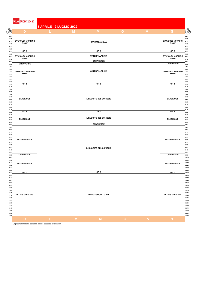| D                                      | 3 APRILE - 2 LUGLIO 2022 | M                         | G | $\mathbf V$ | S                                      |
|----------------------------------------|--------------------------|---------------------------|---|-------------|----------------------------------------|
|                                        | M                        |                           |   |             |                                        |
| <b>OVUNQUE6 MORNING</b>                |                          |                           |   |             | <b>OVUNQUE6 MORNING</b>                |
| <b>SHOW</b>                            |                          | <b>CATERPILLAR AM</b>     |   |             | <b>SHOW</b>                            |
|                                        |                          | GR <sub>2</sub>           |   |             |                                        |
| GR <sub>2</sub>                        |                          | <b>CATERPILLAR AM</b>     |   |             | GR <sub>2</sub>                        |
| <b>OVUNQUE6 MORNING</b><br><b>SHOW</b> |                          |                           |   |             | <b>OVUNQUE6 MORNING</b><br><b>SHOW</b> |
| ONDAVERDE                              |                          | <b>ONDAVERDE</b>          |   |             | ONDAVERDE                              |
|                                        |                          |                           |   |             |                                        |
| <b>OVUNQUE6 MORNING</b><br><b>SHOW</b> |                          | <b>CATERPILLAR AM</b>     |   |             | <b>OVUNQUE6 MORNING</b><br><b>SHOW</b> |
|                                        |                          |                           |   |             |                                        |
| GR <sub>2</sub>                        |                          | GR <sub>2</sub>           |   |             | GR <sub>2</sub>                        |
|                                        |                          |                           |   |             |                                        |
|                                        |                          |                           |   |             |                                        |
| <b>BLACK OUT</b>                       |                          | IL RUGGITO DEL CONIGLIO   |   |             | <b>BLACK OUT</b>                       |
|                                        |                          |                           |   |             |                                        |
|                                        |                          |                           |   |             |                                        |
| GR <sub>2</sub>                        |                          | GR <sub>2</sub>           |   |             | GR <sub>2</sub>                        |
|                                        |                          |                           |   |             |                                        |
| <b>BLACK OUT</b>                       |                          | IL RUGGITO DEL CONIGLIO   |   |             | <b>BLACK OUT</b>                       |
|                                        |                          | ONDAVERDE                 |   |             |                                        |
|                                        |                          |                           |   |             |                                        |
|                                        |                          |                           |   |             |                                        |
| PRENDILA COSI'                         |                          |                           |   |             | <b>PRENDILA COSI'</b>                  |
|                                        |                          |                           |   |             |                                        |
|                                        |                          | IL RUGGITO DEL CONIGLIO   |   |             |                                        |
| ONDAVERDE                              |                          |                           |   |             | ONDAVERDE                              |
|                                        |                          |                           |   |             |                                        |
| <b>PRENDILA COSI'</b>                  |                          |                           |   |             | <b>PRENDILA COSI'</b>                  |
|                                        |                          |                           |   |             |                                        |
| GR <sub>2</sub>                        |                          | GR <sub>2</sub>           |   |             | GR <sub>2</sub>                        |
|                                        |                          |                           |   |             |                                        |
|                                        |                          |                           |   |             |                                        |
|                                        |                          |                           |   |             |                                        |
|                                        |                          |                           |   |             |                                        |
| LILLO & GREG 610                       |                          | <b>RADIO2 SOCIAL CLUB</b> |   |             | LILLO & GREG 610                       |
|                                        |                          |                           |   |             |                                        |
|                                        |                          |                           |   |             |                                        |
|                                        |                          |                           |   |             |                                        |
|                                        |                          |                           |   |             |                                        |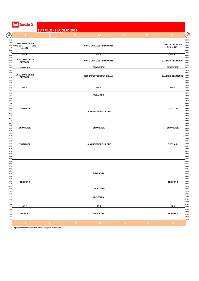Rai Radio 2

| <b>Kall Water 2</b>                          |                          |   |                             |    |                         |                           |
|----------------------------------------------|--------------------------|---|-----------------------------|----|-------------------------|---------------------------|
|                                              | 3 APRILE - 2 LUGLIO 2022 |   |                             |    |                         |                           |
| $\sqrt{3}$<br>D                              |                          | M | M                           | G. | $\mathbf{V}$            | S                         |
| 12.00                                        |                          |   |                             |    |                         |                           |
| 12.05<br><b>L'INVASIONE DEGLI</b><br>12.10   |                          |   |                             |    |                         | <b>CAMPIONI DEL MONDO</b> |
| <b>AUTOGOL</b><br>(fino<br>12.15<br>al 29/5) |                          |   | NON E' UN PAESE PER GIOVANI |    |                         | (fino al 28/5)            |
| 12.20                                        |                          |   |                             |    |                         |                           |
| 12.25                                        |                          |   | GR <sub>2</sub>             |    |                         | GR <sub>2</sub>           |
| GR <sub>2</sub><br>12.30<br>12.35            |                          |   |                             |    |                         |                           |
| <b>L'INVASIONE DEGLI</b><br>12.40            |                          |   | NON E' UN PAESE PER GIOVANI |    |                         | <b>CAMPIONI DEL MONDO</b> |
| <b>AUTOGOL</b><br>12.45                      |                          |   |                             |    |                         |                           |
| 12.50                                        |                          |   |                             |    |                         |                           |
| ONDAVERDE<br>12.55                           |                          |   | ONDAVERDE                   |    |                         | ONDAVERDE                 |
| 13.00<br>13.05                               |                          |   |                             |    |                         |                           |
| <b>L'INVASIONE DEGLI</b><br>13.10            |                          |   | NON E' UN PAESE PER GIOVANI |    |                         | <b>CAMPIONI DEL MONDO</b> |
| <b>AUTOGOL</b><br>13.15                      |                          |   |                             |    |                         |                           |
| 13.20                                        |                          |   |                             |    |                         |                           |
| 13.25<br>13.30                               |                          |   |                             |    |                         |                           |
| GR <sub>2</sub><br>13.35                     |                          |   | GR 2                        |    |                         | GR <sub>2</sub>           |
| 13.40                                        |                          |   |                             |    |                         |                           |
| 13.45                                        |                          |   | <b>DECANTER</b>             |    |                         |                           |
| 13.50<br>13.55                               |                          |   |                             |    |                         |                           |
| 14.00                                        |                          |   |                             |    |                         |                           |
| 14.05                                        |                          |   |                             |    |                         |                           |
| 14.10<br>14.15                               |                          |   |                             |    |                         |                           |
| <b>TUTTI NUDI</b><br>14.20                   |                          |   |                             |    |                         | <b>TUTTI NUDI</b>         |
| 14.25                                        |                          |   | LA VERSIONE DELLE DUE       |    |                         |                           |
| 14.30                                        |                          |   |                             |    |                         |                           |
| 14.35                                        |                          |   |                             |    |                         |                           |
| 14.40<br>14.45                               |                          |   |                             |    |                         |                           |
| 14.50                                        |                          |   |                             |    |                         |                           |
| ONDAVERDE<br>14.55                           |                          |   | ONDAVERDE                   |    |                         | ONDAVERDE                 |
| 15.00                                        |                          |   |                             |    |                         |                           |
| 15.05<br>15.10                               |                          |   |                             |    |                         |                           |
| 15.15                                        |                          |   |                             |    |                         |                           |
| 15.20                                        |                          |   |                             |    |                         |                           |
| 15.25<br><b>TUTTI NUDI</b>                   |                          |   | LA VERSIONE DELLE DUE       |    |                         | <b>TUTTI NUDI</b>         |
| 15.30<br>15.35                               |                          |   |                             |    |                         |                           |
| 15.40                                        |                          |   |                             |    |                         |                           |
| 15.45                                        |                          |   |                             |    |                         |                           |
| 15.50                                        |                          |   |                             |    |                         |                           |
| 15.55<br>16.00                               |                          |   |                             |    |                         |                           |
| 16.05                                        |                          |   |                             |    |                         |                           |
| 16.10                                        |                          |   |                             |    |                         |                           |
| 16.15<br>16.20                               |                          |   |                             |    |                         |                           |
| 16.25                                        |                          |   | <b>NUMERI UNI</b>           |    |                         |                           |
| 16.30                                        |                          |   |                             |    |                         |                           |
| 16.35                                        |                          |   |                             |    |                         |                           |
| 16.40<br>TRE PER 2<br>16.45                  |                          |   |                             |    |                         | TRE PER 2                 |
| 16.50                                        |                          |   |                             |    |                         |                           |
| 16.55                                        |                          |   | ONDAVERDE                   |    |                         |                           |
| 17.00                                        |                          |   |                             |    |                         |                           |
| 17.05<br>17.10                               |                          |   |                             |    |                         |                           |
| 17.15                                        |                          |   | <b>NUMERI UNI</b>           |    |                         |                           |
| 17.20                                        |                          |   |                             |    |                         |                           |
| 17.25                                        |                          |   |                             |    |                         |                           |
| GR <sub>2</sub><br>17.30<br>17.35            |                          |   | GR <sub>2</sub>             |    |                         | GR <sub>2</sub>           |
| 17.40                                        |                          |   |                             |    |                         |                           |
| TRE PER 2<br>17.45                           |                          |   | <b>NUMERI UNI</b>           |    |                         | TRE PER 2                 |
| 17.50                                        |                          |   |                             |    |                         |                           |
| 17.55                                        |                          |   |                             |    |                         |                           |
| D                                            | L.                       | M | M                           | G  | $\overline{\mathsf{V}}$ | S                         |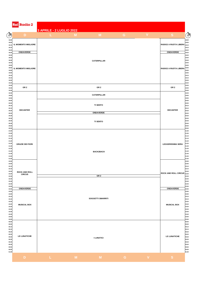| <b>Rai Radio 2</b>                    | 3 APRILE - 2 LUGLIO 2022 |   |                          |   |              |                             |
|---------------------------------------|--------------------------|---|--------------------------|---|--------------|-----------------------------|
| D                                     |                          | M | M                        | G | $\mathbf{V}$ | S                           |
| IL MOMENTO MIGLIORE                   |                          |   |                          |   |              | RADIO2 A RUOTA LIBERA 18.10 |
| ONDAVERDE                             |                          |   |                          |   |              | ONDAVERDE                   |
| IL MOMENTO MIGLIORE                   |                          |   | <b>CATERPILLAR</b>       |   |              | RADIO2 A RUOTA LIBERA       |
| GR <sub>2</sub>                       |                          |   | GR <sub>2</sub>          |   |              | GR <sub>2</sub>             |
|                                       |                          |   | <b>CATERPILLAR</b>       |   |              |                             |
|                                       |                          |   | <b>TI SENTO</b>          |   |              |                             |
| <b>DECANTER</b>                       |                          |   | <b>ONDAVERDE</b>         |   |              | <b>DECANTER</b>             |
|                                       |                          |   | <b>TI SENTO</b>          |   |              |                             |
| <b>GRAZIE DEI FIORI</b>               |                          |   | <b>BACK2BACK</b>         |   |              | <b>LEGGERISSIMA SERA</b>    |
| <b>ROCK AND ROLL</b><br><b>CIRCUS</b> |                          |   | GR <sub>2</sub>          |   |              | ROCK AND ROLL CIRCUS 22.25  |
|                                       |                          |   |                          |   |              |                             |
| ONDAVERDE                             |                          |   |                          |   |              | ONDAVERDE                   |
| <b>MUSICAL BOX</b>                    |                          |   | <b>SOGGETTI SMARRITI</b> |   |              | <b>MUSICAL BOX</b>          |
| LE LUNATICHE                          |                          |   | <b>I LUNATICI</b>        |   |              | LE LUNATICHE                |
| D                                     | L                        | M | M                        | G | $\mathbf{V}$ | S                           |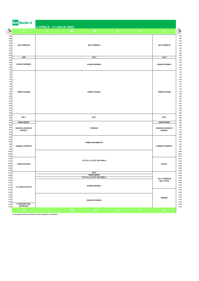|                                                                                                                                              | <b>Rai Radio 3</b>                                                              | 3 APRILE - 2 LUGLIO 2022 |   |                                                                                       |           |                         |                                          |
|----------------------------------------------------------------------------------------------------------------------------------------------|---------------------------------------------------------------------------------|--------------------------|---|---------------------------------------------------------------------------------------|-----------|-------------------------|------------------------------------------|
| Õ                                                                                                                                            | D                                                                               |                          | M | M                                                                                     | G         | $\mathbf v$             | S                                        |
| 6.00<br>6.05<br>6.10<br>6.15<br>6.20<br>6.25<br>6.30<br>6.35<br>6.40                                                                         | <b>QUI COMINCIA</b>                                                             |                          |   | <b>QUI COMINCIA</b>                                                                   |           |                         | <b>QUI COMINCIA</b>                      |
|                                                                                                                                              | GR3                                                                             |                          |   | GR <sub>3</sub>                                                                       |           |                         | GR <sub>3</sub>                          |
| 6.50<br>6.55<br>7.00<br>7.05                                                                                                                 | <b>RADIO 3 MONDO</b>                                                            |                          |   | RADIO3 MONDO                                                                          |           |                         | <b>RADIO3 MONDO</b>                      |
| 7.15<br>7.20<br>7.25<br>7.30<br>7.35<br>7.40<br>7.45<br>7.50<br>7.55<br>8.00<br>8.05<br>8.10<br>8.15<br>8.20<br>8.25<br>8.30<br>8.35<br>8.40 | PRIMA PAGINA                                                                    |                          |   | <b>PRIMA PAGINA</b>                                                                   |           |                         | PRIMA PAGINA                             |
| 8.45<br>8.50<br>8.55                                                                                                                         | GR <sub>3</sub>                                                                 |                          |   | GR <sub>3</sub>                                                                       |           |                         | GR <sub>3</sub>                          |
| 9.00<br>9.05                                                                                                                                 | ONDAVERDE                                                                       |                          |   |                                                                                       |           |                         | ONDAVERDE                                |
| 9.10<br>9.15<br>9.20                                                                                                                         | RADIO3 LEZIONI DI<br><b>MUSICA</b>                                              |                          |   | PAGINA3                                                                               |           |                         | RADIO3 LEZIONI DI<br><b>MUSICA</b>       |
| 9.25<br>9.30<br>9.35<br>9.40<br>9.45<br>9.50<br>9.55<br>10.00<br>10.05                                                                       | <b>UOMINI E PROFETI</b>                                                         |                          |   | PRIMO MOVIMENTO                                                                       |           |                         | <b>UOMINI E PROFETI</b>                  |
| 10.10<br>10.15<br>10.20<br>10.25<br>10.30<br>10.35<br>10.40                                                                                  | TUTTA LA CITTA' NE PARLA<br>ZARATHUSTRA                                         |                          |   |                                                                                       |           |                         | <b>EXPAT</b>                             |
| 10.45<br>10.50                                                                                                                               |                                                                                 |                          |   | GR <sub>3</sub>                                                                       |           |                         |                                          |
| 10.55<br>11.00<br>11.05                                                                                                                      | ONDAVERDE<br>TUTTA LA CITTA' NE PARLA<br>RADIO3 MONDO<br><b>LA LINGUA BATTE</b> |                          |   |                                                                                       |           |                         | <b>A3 IL FORMATO</b><br><b>DELL'ARTE</b> |
| 11.15<br>11.20<br>11.25<br>11.30<br>11.35<br>11.40<br>11.50                                                                                  | I CONCERTI DEL                                                                  |                          |   | RADIO3 SCIENZA                                                                        |           |                         | <b>MOMUS</b>                             |
| 11.55                                                                                                                                        | QUIRINALE<br>D                                                                  |                          | M | $\mathsf{M}% _{T}=\mathsf{M}_{T}\!\left( a,b\right) ,\ \mathsf{M}_{T}=\mathsf{M}_{T}$ | ${\bf G}$ | $\overline{\mathsf{V}}$ | S                                        |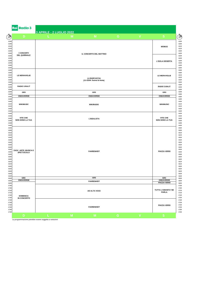| Rai Radio 3                               | 3 APRILE - 2 LUGLIO 2022 |   |                                                   |             |             |                                           |  |
|-------------------------------------------|--------------------------|---|---------------------------------------------------|-------------|-------------|-------------------------------------------|--|
| D                                         |                          | M | M                                                 | G           | V           | <sub>S</sub>                              |  |
| <b>I CONCERTI</b>                         | IL CONCERTO DEL MATTINO  |   |                                                   |             |             |                                           |  |
| <b>DEL QUIRINALE</b>                      |                          |   |                                                   |             |             | L'ISOLA DESERTA                           |  |
| <b>LE MERAVIGLIE</b>                      |                          |   | <b>LA BARCACCIA</b><br>(11-22/04: Suona la festa) |             |             | <b>LE MERAVIGLIE</b>                      |  |
| RADIO 3.RAI.IT                            |                          |   |                                                   |             |             | RADIO 3.RAI.IT                            |  |
| GR <sub>3</sub>                           |                          |   | GR3                                               |             |             | GR3                                       |  |
| ONDAVERDE                                 |                          |   | <b>ONDAVERDE</b>                                  |             |             | ONDAVERDE                                 |  |
| <b>WIKIMUSIC</b>                          |                          |   | <b>WIKIRADIO</b>                                  |             |             | <b>WIKIMUSIC</b>                          |  |
| <b>VITE CHE</b><br><b>NON SONO LA TUA</b> |                          |   | <b>L'IDEALISTA</b>                                |             |             | <b>VITE CHE</b><br><b>NON SONO LA TUA</b> |  |
| ZAZA'. ARTE, MUSICA E<br>SPETTACOLO       |                          |   | <b>FAHRENHEIT</b>                                 |             |             | <b>PIAZZA VERDI</b>                       |  |
| GR3<br>ONDAVERDE                          |                          |   | GR3                                               |             |             | GR3<br>ONDAVERDE                          |  |
|                                           |                          |   | <b>FAHRENHEIT</b>                                 |             |             | PIAZZA VERDI                              |  |
| <b>DOMENICA</b><br>IN CONCERTO            |                          |   | AD ALTA VOCE                                      |             |             | TUTTA L'UMANITA' NE<br><b>PARLA</b>       |  |
|                                           |                          |   | <b>FAHRENHEIT</b>                                 |             |             | <b>PIAZZA VERDI</b>                       |  |
| D                                         |                          | M | M                                                 | $\mathbf G$ | $\mathbf V$ | S                                         |  |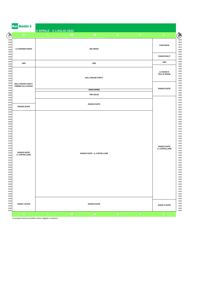| D                                                                    | 3 APRILE - 2 LUGLIO 2022 | M | M                      |                                      | $\mathbf V$ |                      |  |  |
|----------------------------------------------------------------------|--------------------------|---|------------------------|--------------------------------------|-------------|----------------------|--|--|
|                                                                      |                          |   |                        | G                                    |             | ${\bf S}$            |  |  |
| <b>LA GRANDE RADIO</b>                                               |                          |   | <b>SEI GRADI</b>       |                                      |             |                      |  |  |
|                                                                      |                          |   |                        |                                      |             | RADIO3.RAI.IT        |  |  |
| GR3                                                                  |                          |   | GR3                    |                                      |             | GR3                  |  |  |
|                                                                      |                          |   | <b>HOLLYWOOD PARTY</b> |                                      |             |                      |  |  |
| <b>HOLLYWOOD PARTY:</b><br><b>CINEMA ALLA RADIO</b>                  |                          |   | <b>ONDAVERDE</b>       |                                      |             | <b>RADIO3 SUITE</b>  |  |  |
|                                                                      |                          |   | <b>TRE SOLDI</b>       |                                      |             |                      |  |  |
| <b>RADIO3 SUITE</b>                                                  |                          |   | <b>RADIO3 SUITE</b>    |                                      |             |                      |  |  |
| <b>RADIO3 SUITE</b><br>RADIO3 SUITE - IL CARTELLONE<br>IL CARTELLONE |                          |   |                        | <b>RADIO3 SUITE</b><br>IL CARTELLONE |             |                      |  |  |
| <b>RADIO 3 SUITE</b>                                                 |                          |   | <b>RADIO3 SUITE</b>    |                                      |             | <b>RADIO 3 SUITE</b> |  |  |
| D                                                                    |                          | M | M                      | G                                    | $\mathbf V$ | ${\bf S}$            |  |  |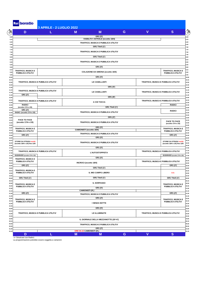| $\bigcirc$     | D                                              | 3 APRILE - 2 LUGLIO 2022<br>L                                  | M        | M                                          | G | $\mathbf{V}$ | S                                    |
|----------------|------------------------------------------------|----------------------------------------------------------------|----------|--------------------------------------------|---|--------------|--------------------------------------|
|                |                                                |                                                                |          | GR1 (5')                                   |   |              |                                      |
| 6.00<br>6.15   |                                                |                                                                |          | VIABILITA' ASTRALE (eccetto 18/4)          |   |              |                                      |
| 6.30<br>6.45   |                                                |                                                                |          | TRAFFICO, MUSICA E PUBBLICA UTILITA'       |   |              |                                      |
| 7.00           |                                                |                                                                |          | GR1 Titoli (1')                            |   |              |                                      |
| 7.15<br>7.30   |                                                |                                                                |          | TRAFFICO, MUSICA E PUBBLICA UTILITA'       |   |              |                                      |
| 7.45           |                                                |                                                                |          |                                            |   |              |                                      |
| 8.00<br>8.15   |                                                |                                                                |          | GR1 Titoli (1')                            |   |              |                                      |
| 8.30           |                                                |                                                                |          | TRAFFICO, MUSICA E PUBBLICA UTILITA'       |   |              |                                      |
| 8.45<br>9.00   |                                                |                                                                |          | GR1 (5')                                   |   |              |                                      |
| 9.15           | <b>TRAFFICO, MUSICA E</b>                      |                                                                |          | <b>COLAZIONE DA SIMONA (eccetto 18/4)</b>  |   |              | <b>TRAFFICO, MUSICA E</b>            |
| 9.30<br>9.45   | PUBBLICA UTILITA'                              |                                                                |          |                                            |   |              | PUBBLICA UTILITA'                    |
| 10.00          |                                                |                                                                |          | GR1 (5')                                   |   |              |                                      |
| 10.15<br>10.30 | TRAFFICO, MUSICA E PUBBLICA UTILITA'           |                                                                |          | LE CASELLANTI                              |   |              | TRAFFICO, MUSICA E PUBBLICA UTILITA' |
| 10.45<br>11.00 |                                                |                                                                |          | GR1 (5')                                   |   |              |                                      |
| 11.15          | TRAFFICO, MUSICA E PUBBLICA UTILITA'           |                                                                |          |                                            |   |              |                                      |
| 11.30<br>11.45 | GR1 (2')                                       |                                                                |          | LE CASELLANTI                              |   |              | TRAFFICO, MUSICA E PUBBLICA UTILITA' |
| 12.00          |                                                |                                                                |          | GR1(8)                                     |   |              |                                      |
| 12.15<br>12.30 | TRAFFICO, MUSICA E PUBBLICA UTILITA'           |                                                                |          | A CHI TOCCA                                |   |              | TRAFFICO, MUSICA E PUBBLICA UTILITA' |
| 12.45          | <b>RADICI</b>                                  |                                                                |          |                                            |   |              | <b>RADICI</b>                        |
| 13.00<br>13.15 | (eccetto 17/4 e 1/5)<br>GR1 (2')               |                                                                |          | GR1 Titoli (1')                            |   |              |                                      |
| 13.30          | RADICI (eccetto 17/4 e 1/5)                    |                                                                |          | TRAFFICO, MUSICA E PUBBLICA UTILITA'       |   |              | <b>RADICI</b>                        |
| 13.45<br>14.00 |                                                |                                                                |          | GR1 (2')                                   |   |              |                                      |
| 14.15          | <b>FACE TO FACE</b>                            |                                                                |          |                                            |   |              | <b>FACE TO FACE</b>                  |
| 14.30<br>14.45 | (eccetto 17/4 e 1/5)                           |                                                                |          | TRAFFICO, MUSICA E PUBBLICA UTILITA'       |   |              | (eccetto 17/4 e 1/5)                 |
| 15.00          | <b>TRAFFICO, MUSICA E</b>                      |                                                                |          | GR1(5)<br><b>CAMIONISTI</b> (eccetto 18/4) |   |              | <b>TRAFFICO, MUSICA E</b>            |
| 15.15<br>15.30 | PUBBLICA UTILITA'                              |                                                                |          | TRAFFICO, MUSICA E PUBBLICA UTILITA'       |   |              | PUBBLICA UTILITA'                    |
| 15.45          | GR1 (2')                                       |                                                                |          | GR1 (5')                                   |   |              | GR1 (2')                             |
| 16.00<br>16.15 | STORIE DA STRADA novità                        |                                                                |          |                                            |   |              | STORIE DA STRADA novità              |
| 16.30<br>16.45 | (eccetto 18/4 e 1/5) fino 12/6                 |                                                                |          | TRAFFICO, MUSICA E PUBBLICA UTILITA'       |   |              | (eccetto 18/4 e 1/5) fino 12/6       |
| 17.00          |                                                |                                                                |          | GR1 (5')                                   |   |              |                                      |
| 17.15<br>17.30 |                                                | TRAFFICO, MUSICA E PUBBLICA UTILITA'<br><b>L'AUTOSTOPPISTA</b> |          |                                            |   |              | TRAFFICO, MUSICA E PUBBLICA UTILITA' |
| 17.45          | ISODRIVER (eccetto 17/4 e 1/5)                 |                                                                |          |                                            |   |              | ISODRIVER (eccetto 17/4 e 1/5)       |
| 18.00<br>18.15 | <b>TRAFFICO, MUSICA E</b>                      |                                                                | GR1 (5') |                                            |   |              |                                      |
| 18.30          | PUBBLICA UTILITA'                              |                                                                |          | INCROCI (eccetto 18/4)                     |   |              | TRAFFICO, MUSICA E PUBBLICA UTILITA' |
| 18.45<br>19.00 | GR1 (2')                                       |                                                                |          | GR1 Titoli (1')                            |   |              | GR1 (2')                             |
| 19.15          | <b>TRAFFICO, MUSICA E</b><br>PUBBLICA UTILITA' |                                                                |          | IL MIO CAMPO LIBERO                        |   |              | D.D.                                 |
| 19.30<br>19.45 |                                                |                                                                |          |                                            |   |              |                                      |
| 20.00          | GR1 Titoli (1')                                |                                                                |          | GR1 Titoli (1')                            |   |              | GR1 Titoli (1')                      |
| 20.15<br>20.30 | <b>TRAFFICO, MUSICA E</b>                      |                                                                |          | IL SORPASSO                                |   |              | <b>TRAFFICO, MUSICA E</b>            |
| 20.45          | PUBBLICA UTILITA'                              |                                                                |          | GR1 (5')                                   |   |              | PUBBLICA UTILITA'                    |
| 21.00<br>21.15 |                                                |                                                                |          | <b>CAMIONISTI (R.)</b>                     |   |              |                                      |
| 21.30          | GR1 (2')                                       |                                                                |          | TRAFFICO, MUSICA E PUBBLICA UTILITA'       |   |              | GR1 (2')                             |
| 21.45<br>22.00 | <b>TRAFFICO, MUSICA E</b>                      |                                                                |          | GR1 (2')                                   |   |              | <b>TRAFFICO, MUSICA E</b>            |
| 22.15<br>22.30 | PUBBLICA UTILITA'                              |                                                                |          | <b>I SENZA NOTTE</b>                       |   |              | PUBBLICA UTILITA'                    |
| 22.45          |                                                |                                                                |          |                                            |   |              |                                      |
| 23.00<br>23.15 |                                                |                                                                |          | GR1 (5')                                   |   |              |                                      |
| 23.30          | TRAFFICO, MUSICA E PUBBLICA UTILITA'           |                                                                |          | LE ILLUMINATE                              |   |              | TRAFFICO, MUSICA E PUBBLICA UTILITA' |
| 23.45<br>24.00 |                                                |                                                                |          |                                            |   |              |                                      |
| 00.15          |                                                |                                                                |          | IL GIORNALE DELLA MEZZANOTTE (20'+5')      |   |              |                                      |
| 00.30<br>00.45 |                                                |                                                                |          | TRAFFICO, MUSICA E PUBBLICA UTILITA'       |   |              |                                      |
| 01.00          |                                                |                                                                |          | GR1 (2')                                   |   |              |                                      |
|                |                                                |                                                                |          | ORE 04.15 CAMIONISTI (R.)                  |   |              |                                      |

s= Simulcast con Radio1 La programmazione potrebbe essere soggetta a variazioni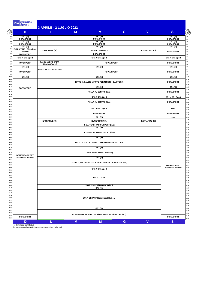| D                                       | L                                            | M                                             | M                                                         | G | $\mathbf{V}$          | $\mathbf{s}$                              |  |  |
|-----------------------------------------|----------------------------------------------|-----------------------------------------------|-----------------------------------------------------------|---|-----------------------|-------------------------------------------|--|--|
| GR1 (5')                                |                                              |                                               | GR1 (5')                                                  |   |                       | GR1 (5')                                  |  |  |
| <b>POP&amp;SPORT</b>                    |                                              |                                               | POP&SPORT                                                 |   |                       | POP&SPORT                                 |  |  |
| GR1 (5')                                |                                              |                                               | GR1 (5')                                                  |   |                       | GR1 (5')                                  |  |  |
| POP&SPORT                               |                                              |                                               | POP&SPORT                                                 |   |                       | POP&SPORT                                 |  |  |
| GR1 (5')                                |                                              |                                               | GR1 (5')                                                  |   |                       | GR1 (5')                                  |  |  |
| <b>EXTRA TIME</b> (Simulcast<br>Radio1) | <b>EXTRATIME (R.)</b>                        |                                               | <b>NUMERI PRIMI (R.)</b>                                  |   | <b>EXTRATIME (R.)</b> | POP&SPORT                                 |  |  |
| POP&SPORT                               |                                              |                                               | <b>POP&amp;SPORT</b>                                      |   |                       |                                           |  |  |
| GR1 + GR1 Sport                         |                                              |                                               | GR1 + GR1 Sport                                           |   |                       | GR1 + GR1 Sport                           |  |  |
|                                         | <b>RADIO1 ANCH'IO SPORT</b>                  |                                               |                                                           |   |                       |                                           |  |  |
| <b>POP&amp;SPORT</b>                    | (Simulcast Radio1)                           |                                               | <b>POP &amp; SPORT</b>                                    |   |                       | POP&SPORT                                 |  |  |
| GR1 (5')                                | RADIO1 ANCH'IO SPORT (SIM)                   |                                               | GR1 (5')                                                  |   |                       | GR1 (5')                                  |  |  |
| POP&SPORT                               |                                              |                                               | <b>POP &amp; SPORT</b>                                    |   |                       | POP&SPORT                                 |  |  |
|                                         |                                              |                                               |                                                           |   |                       |                                           |  |  |
| GR1 (5')                                |                                              |                                               | GR1 (5')                                                  |   |                       | GR1 (5')                                  |  |  |
|                                         |                                              | TUTTO IL CALCIO MINUTO PER MINUTO - LA STORIA |                                                           |   |                       |                                           |  |  |
|                                         |                                              |                                               |                                                           |   |                       |                                           |  |  |
| POP&SPORT                               |                                              |                                               | GR1 (5')                                                  |   |                       | GR1 (5')                                  |  |  |
|                                         |                                              |                                               | PALLA AL CENTRO (live)                                    |   |                       | POP&SPORT                                 |  |  |
|                                         |                                              |                                               |                                                           |   |                       |                                           |  |  |
|                                         |                                              |                                               | GR1 + GR1 Sport                                           |   |                       | GR1 + GR1 Sport                           |  |  |
|                                         |                                              |                                               | PALLA AL CENTRO (live)                                    |   |                       | POP&SPORT                                 |  |  |
|                                         |                                              |                                               |                                                           |   |                       |                                           |  |  |
|                                         |                                              |                                               | GR1 + GR1 Sport                                           |   |                       | GR <sub>1</sub>                           |  |  |
|                                         |                                              |                                               |                                                           |   |                       |                                           |  |  |
|                                         |                                              |                                               | POP&SPORT                                                 |   |                       | POP&SPORT                                 |  |  |
|                                         |                                              |                                               | GR1 (2')                                                  |   |                       | GR1                                       |  |  |
|                                         | <b>EXTRATIME (R.)</b>                        |                                               | <b>NUMERI PRIMI R.</b>                                    |   | <b>EXTRATIME (R.)</b> |                                           |  |  |
|                                         | IL CAFFE' DI RADIO1 SPORT (live)<br>GR1 (5') |                                               |                                                           |   |                       |                                           |  |  |
|                                         |                                              |                                               |                                                           |   |                       |                                           |  |  |
|                                         |                                              |                                               |                                                           |   |                       |                                           |  |  |
|                                         |                                              |                                               |                                                           |   |                       |                                           |  |  |
|                                         |                                              |                                               |                                                           |   |                       |                                           |  |  |
|                                         |                                              |                                               | TUTTO IL CALCIO MINUTO PER MINUTO - LA STORIA             |   |                       |                                           |  |  |
|                                         |                                              |                                               |                                                           |   |                       |                                           |  |  |
|                                         |                                              |                                               | GR1 (5')                                                  |   |                       |                                           |  |  |
|                                         |                                              | <b>TEMPI SUPPLEMENTARI (live)</b>             |                                                           |   |                       |                                           |  |  |
| <b>DOMENICA SPORT</b>                   |                                              |                                               |                                                           |   |                       |                                           |  |  |
| (Simulcast Radio1)                      |                                              |                                               |                                                           |   |                       |                                           |  |  |
|                                         |                                              |                                               |                                                           |   |                       |                                           |  |  |
|                                         |                                              |                                               |                                                           |   |                       |                                           |  |  |
|                                         |                                              |                                               |                                                           |   |                       | <b>SABATO SPORT</b><br>(Simulcast Radio1) |  |  |
|                                         |                                              |                                               | GR1 + GR1 Sport                                           |   |                       |                                           |  |  |
|                                         |                                              |                                               |                                                           |   |                       |                                           |  |  |
|                                         |                                              |                                               | POP&SPORT                                                 |   |                       |                                           |  |  |
|                                         |                                              |                                               |                                                           |   |                       |                                           |  |  |
|                                         |                                              |                                               |                                                           |   |                       |                                           |  |  |
|                                         |                                              |                                               | ZONA CESARINI (Simulcast Radio1)                          |   |                       |                                           |  |  |
|                                         |                                              |                                               | GR1 (5')                                                  |   |                       |                                           |  |  |
|                                         |                                              |                                               |                                                           |   |                       |                                           |  |  |
|                                         |                                              |                                               |                                                           |   |                       |                                           |  |  |
|                                         |                                              |                                               | ZONA CESARINI (Simulcast Radio1)                          |   |                       |                                           |  |  |
|                                         |                                              |                                               |                                                           |   |                       |                                           |  |  |
|                                         |                                              |                                               |                                                           |   |                       |                                           |  |  |
|                                         |                                              |                                               | GR1 (5')                                                  |   |                       |                                           |  |  |
|                                         |                                              |                                               |                                                           |   |                       |                                           |  |  |
|                                         |                                              |                                               | POP&SPORT (edizioni Gr1 all'ora piena, Simulcast Radio 1) |   |                       |                                           |  |  |
| POP&SPORT                               |                                              |                                               |                                                           |   |                       | POP&SPORT                                 |  |  |

s= Simulcast con Radio1 La programmazione potrebbe essere soggetta a variazioni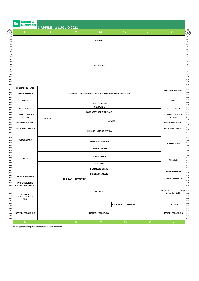| $\begin{picture}(120,115) \put(0,0){\line(1,0){155}} \put(15,0){\line(1,0){155}} \put(15,0){\line(1,0){155}} \put(15,0){\line(1,0){155}} \put(15,0){\line(1,0){155}} \put(15,0){\line(1,0){155}} \put(15,0){\line(1,0){155}} \put(15,0){\line(1,0){155}} \put(15,0){\line(1,0){155}} \put(15,0){\line(1,0){155}} \put(15,0){\line(1,0){155$ | D                                                   | 3 APRILE - 2 LUGLIO 2022 | M                         | M                                                       | G                  | $\mathbf V$ | S                                                  |  |
|---------------------------------------------------------------------------------------------------------------------------------------------------------------------------------------------------------------------------------------------------------------------------------------------------------------------------------------------|-----------------------------------------------------|--------------------------|---------------------------|---------------------------------------------------------|--------------------|-------------|----------------------------------------------------|--|
|                                                                                                                                                                                                                                                                                                                                             |                                                     |                          |                           |                                                         |                    |             |                                                    |  |
|                                                                                                                                                                                                                                                                                                                                             |                                                     |                          |                           | <b>AUBADE</b>                                           |                    |             |                                                    |  |
|                                                                                                                                                                                                                                                                                                                                             |                                                     |                          |                           |                                                         |                    |             |                                                    |  |
|                                                                                                                                                                                                                                                                                                                                             |                                                     |                          |                           |                                                         |                    |             |                                                    |  |
| 7.30<br>7.45                                                                                                                                                                                                                                                                                                                                |                                                     |                          |                           |                                                         |                    |             |                                                    |  |
| 8.00<br>8.15                                                                                                                                                                                                                                                                                                                                |                                                     |                          |                           |                                                         |                    |             |                                                    |  |
| 8.30<br>8.45                                                                                                                                                                                                                                                                                                                                |                                                     |                          |                           | <b>MATTINALE</b>                                        |                    |             |                                                    |  |
| 9.00<br>9.15                                                                                                                                                                                                                                                                                                                                |                                                     |                          |                           |                                                         |                    |             |                                                    |  |
| 9.30                                                                                                                                                                                                                                                                                                                                        |                                                     |                          |                           |                                                         |                    |             |                                                    |  |
| 9.45<br>10.00                                                                                                                                                                                                                                                                                                                               |                                                     |                          |                           |                                                         |                    |             |                                                    |  |
| 10.15<br>10.30                                                                                                                                                                                                                                                                                                                              |                                                     |                          |                           |                                                         |                    |             |                                                    |  |
| 10.45<br>11.00                                                                                                                                                                                                                                                                                                                              |                                                     |                          |                           |                                                         |                    |             |                                                    |  |
| 11.15                                                                                                                                                                                                                                                                                                                                       | <b>CONCERTI NEL PARCO</b>                           |                          |                           |                                                         |                    |             | <b>SABATO IN CONCERTO</b>                          |  |
| 11.30<br>11.45                                                                                                                                                                                                                                                                                                                              | <b>CD DELLA SETTIMANA</b>                           |                          |                           | I CONCERTI DELL'ORCHESTRA SINFONICA NAZIONALE DELLA RAI |                    |             |                                                    |  |
| 12.00<br>12.15                                                                                                                                                                                                                                                                                                                              | <b>LUNARIO</b>                                      |                          |                           |                                                         |                    |             | <b>LUNARIO</b>                                     |  |
| 12.30<br>12.45                                                                                                                                                                                                                                                                                                                              |                                                     |                          |                           | CHI E' DI SCENA                                         |                    |             |                                                    |  |
| 13.00<br>13.15                                                                                                                                                                                                                                                                                                                              | CHI E' DI SCENA                                     | <b>GLOSSARIO</b>         |                           |                                                         |                    |             |                                                    |  |
| 13.30                                                                                                                                                                                                                                                                                                                                       |                                                     |                          |                           | I CONCERTI DEL QUIRINALE                                |                    |             |                                                    |  |
| 13.45<br>14.00                                                                                                                                                                                                                                                                                                                              | <b>ALAMIRE - MUSICA</b><br><b>ANTICA</b>            | <b>NOVITA' CD</b>        |                           |                                                         |                    |             | <b>ALAMIRE - MUSICA</b><br><b>ANTICA</b>           |  |
| 14.15<br>14.30                                                                                                                                                                                                                                                                                                                              | <b>IMMAGINI DAL MONDO</b>                           |                          |                           | <b>ATLAS</b>                                            |                    |             | <b>IMMAGINI DAL MONDO</b>                          |  |
| 14.45<br>15.00                                                                                                                                                                                                                                                                                                                              |                                                     |                          |                           |                                                         |                    |             | <b>MUSICA DA CAMERA</b>                            |  |
| 15.15                                                                                                                                                                                                                                                                                                                                       | <b>MUSICA DA CAMERA</b>                             |                          |                           | <b>ALAMIRE - MUSICA ANTICA</b>                          |                    |             |                                                    |  |
| 15.30<br>15.45                                                                                                                                                                                                                                                                                                                              |                                                     |                          |                           |                                                         |                    |             |                                                    |  |
| 16.00<br>16.15                                                                                                                                                                                                                                                                                                                              | <b>POMERIDIANA</b>                                  |                          |                           |                                                         |                    |             |                                                    |  |
| 16.30<br>16.45                                                                                                                                                                                                                                                                                                                              |                                                     | <b>MUSICA DA CAMERA</b>  |                           |                                                         |                    |             |                                                    |  |
| 17.00<br>17.15                                                                                                                                                                                                                                                                                                                              |                                                     |                          |                           |                                                         |                    |             |                                                    |  |
| 17.30                                                                                                                                                                                                                                                                                                                                       |                                                     | <b>STRUMENTARIO</b>      |                           |                                                         |                    |             |                                                    |  |
| 17.45<br>18.00                                                                                                                                                                                                                                                                                                                              | <b>OPERA</b>                                        | <b>POMERIDIANA</b>       |                           |                                                         |                    |             |                                                    |  |
| 18.15<br>18.30                                                                                                                                                                                                                                                                                                                              |                                                     |                          |                           | <b>SUB LUCE</b>                                         |                    |             | <b>DAL VIVO</b>                                    |  |
| 18.45<br>19.00                                                                                                                                                                                                                                                                                                                              |                                                     |                          |                           |                                                         |                    |             |                                                    |  |
| 19.15<br>19.30                                                                                                                                                                                                                                                                                                                              |                                                     |                          |                           | <b>FILM MUSIC STARS</b>                                 |                    |             | <b>CONTEMPORANEI</b>                               |  |
| 19.45                                                                                                                                                                                                                                                                                                                                       | <b>INCISI DI MEMORIA</b>                            |                          |                           | <b>INCIDENTAL MUSIC</b>                                 |                    |             |                                                    |  |
| 20.00<br>20.15                                                                                                                                                                                                                                                                                                                              |                                                     |                          | <b>CD DELLA SETTIMANA</b> |                                                         |                    |             | <b>CD DELLA SETTIMANA</b>                          |  |
| 20.30<br>20.45                                                                                                                                                                                                                                                                                                                              | <b>PROGRESSIONE</b><br><b>ASCENDENTE (dall'1/5)</b> |                          |                           |                                                         |                    |             |                                                    |  |
| 21.00<br>21.15                                                                                                                                                                                                                                                                                                                              |                                                     |                          |                           |                                                         |                    |             |                                                    |  |
| 21.30                                                                                                                                                                                                                                                                                                                                       | <b>IN SALA</b>                                      |                          |                           | <b>IN SALA</b>                                          |                    |             | (dall'1/5 21.15<br>IN SALA<br>in onda dalle 21.00) |  |
| 21.45<br>22.00                                                                                                                                                                                                                                                                                                                              | (dall'1/5 in onda dalle<br>21.00                    |                          |                           |                                                         |                    |             |                                                    |  |
| 22.15<br>22.30                                                                                                                                                                                                                                                                                                                              |                                                     |                          |                           |                                                         |                    |             | <b>DIALOGHI</b>                                    |  |
|                                                                                                                                                                                                                                                                                                                                             |                                                     |                          |                           |                                                         | CD DELLA SETTIMANA |             |                                                    |  |
| 22.45                                                                                                                                                                                                                                                                                                                                       |                                                     |                          |                           |                                                         |                    |             |                                                    |  |
| 23.00<br>23.15                                                                                                                                                                                                                                                                                                                              |                                                     |                          |                           |                                                         |                    |             |                                                    |  |
| 23.30<br>23.45                                                                                                                                                                                                                                                                                                                              | <b>NOTE DI PASSAGGIO</b>                            |                          |                           | <b>NOTE DI PASSAGGIO</b>                                |                    |             | <b>NOTE DI PASSAGGIO</b>                           |  |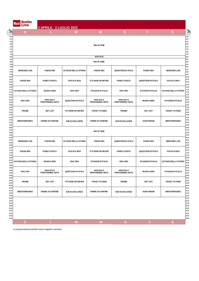|                                                                                                                                                                                                                                                                                                                                                     | <b>Radio</b><br>Rai<br>Live  | 3 APRILE - 2 LUGLIO 2022                  |                              |                                           |                                           |                          |                              |
|-----------------------------------------------------------------------------------------------------------------------------------------------------------------------------------------------------------------------------------------------------------------------------------------------------------------------------------------------------|------------------------------|-------------------------------------------|------------------------------|-------------------------------------------|-------------------------------------------|--------------------------|------------------------------|
| $\begin{picture}(120,115) \put(0,0){\line(1,0){15}} \put(15,0){\line(1,0){15}} \put(15,0){\line(1,0){15}} \put(15,0){\line(1,0){15}} \put(15,0){\line(1,0){15}} \put(15,0){\line(1,0){15}} \put(15,0){\line(1,0){15}} \put(15,0){\line(1,0){15}} \put(15,0){\line(1,0){15}} \put(15,0){\line(1,0){15}} \put(15,0){\line(1,0){15}} \put(15,0){\line$ | D                            |                                           | M                            | M                                         | G                                         | $\mathbf V$              | <sub>S</sub>                 |
|                                                                                                                                                                                                                                                                                                                                                     |                              |                                           |                              |                                           |                                           |                          |                              |
|                                                                                                                                                                                                                                                                                                                                                     |                              |                                           |                              | <b>MIX IN TIME</b>                        |                                           |                          |                              |
|                                                                                                                                                                                                                                                                                                                                                     |                              |                                           |                              |                                           |                                           |                          |                              |
|                                                                                                                                                                                                                                                                                                                                                     |                              |                                           |                              | <b>SCETATE</b>                            |                                           |                          |                              |
|                                                                                                                                                                                                                                                                                                                                                     |                              |                                           |                              | <b>MIX IN TIME</b>                        |                                           |                          |                              |
|                                                                                                                                                                                                                                                                                                                                                     | <b>WEEKEND LIVE</b>          | <b>PAESE MIO</b>                          | <b>10 PASSI NELLA STORIA</b> | <b>PAESE MIO</b>                          | <b>QUESTIONI DI STILO</b>                 | <b>PAESE MIO</b>         | <b>WEEKEND LIVE</b>          |
|                                                                                                                                                                                                                                                                                                                                                     | <b>PAESE MIO</b>             | <b>PANE E PASTA</b>                       | FOX IN A BOX                 | <b>IT'S NOW OR NEVER</b>                  | <b>PANE E PASTA</b>                       | QUESTIONI DI STILO       | FOX IN A BOX                 |
|                                                                                                                                                                                                                                                                                                                                                     | <b>10 PASSI NELLA STORIA</b> | <b>MUSICA MED</b>                         | <b>ERA ORA</b>               | <b>STAZIONI D'ITALIA</b>                  | <b>ERA ORA</b>                            | <b>STAZIONI D'ITALIA</b> | <b>10 PASSI NELLA STORIA</b> |
|                                                                                                                                                                                                                                                                                                                                                     | <b>ERA ORA</b>               | <b>NON SOLO</b><br><b>PERFORMING ARTS</b> | QUESTIONI DI STILO           | <b>NON SOLO</b><br><b>PERFORMING ARTS</b> | <b>NON SOLO</b><br><b>PERFORMING ARTS</b> | <b>MUSICA MED</b>        | <b>STAZIONI D'ITALIA</b>     |
|                                                                                                                                                                                                                                                                                                                                                     | <b>FRAME</b>                 | <b>SET LIST</b>                           | <b>IT'S NOW OR NEVER</b>     | <b>TICKET TO RIDE</b>                     | <b>FRAME</b>                              | <b>SET LIST</b>          | <b>TICKET TO RIDE</b>        |
|                                                                                                                                                                                                                                                                                                                                                     | <b>MEDITERRANEO</b>          | <b>TERRE DI CONFINE</b>                   | <b>SUE ECCELLENZE</b>        | <b>TERRE DI CONFINE</b>                   | <b>SUE ECCELLENZE</b>                     | <b>AUDITORIUM</b>        | <b>MEDITERRANEO</b>          |
|                                                                                                                                                                                                                                                                                                                                                     |                              |                                           |                              | <b>MIX IN TIME</b>                        |                                           |                          |                              |
|                                                                                                                                                                                                                                                                                                                                                     | <b>WEEKEND LIVE</b>          | <b>PAESE MIO</b>                          | <b>10 PASSI NELLA STORIA</b> | <b>PAESE MIO</b>                          | <b>QUESTIONI DI STILO</b>                 | <b>PAESE MIO</b>         | <b>WEEKEND LIVE</b>          |
|                                                                                                                                                                                                                                                                                                                                                     | <b>PAESE MIO</b>             | <b>PANE E PASTA</b>                       | FOX IN A BOX                 | <b>IT'S NOW OR NEVER</b>                  | <b>PANE E PASTA</b>                       | QUESTIONI DI STILO       | FOX IN A BOX                 |
|                                                                                                                                                                                                                                                                                                                                                     | <b>10 PASSI NELLA STORIA</b> | <b>MUSICA MED</b>                         | <b>ERA ORA</b>               | <b>STAZIONI D'ITALIA</b>                  | <b>ERA ORA</b>                            | <b>STAZIONI D'ITALIA</b> | <b>10 PASSI NELLA STORIA</b> |
|                                                                                                                                                                                                                                                                                                                                                     | <b>ERA ORA</b>               | <b>NON SOLO</b><br><b>PERFORMING ARTS</b> | <b>QUESTIONI DI STILO</b>    | <b>NON SOLO</b><br><b>PERFORMING ARTS</b> | <b>NON SOLO</b><br><b>PERFORMING ARTS</b> | <b>MUSICA MED</b>        | <b>STAZIONI D'ITALIA</b>     |
|                                                                                                                                                                                                                                                                                                                                                     | <b>FRAME</b>                 | <b>SET LIST</b>                           | <b>IT'S NOW OR NEVER</b>     | <b>TICKET TO RIDE</b>                     | <b>FRAME</b>                              | <b>SET LIST</b>          | <b>TICKET TO RIDE</b>        |
|                                                                                                                                                                                                                                                                                                                                                     | <b>MEDITERRANEO</b>          | <b>TERRE DI CONFINE</b>                   | <b>SUE ECCELLENZE</b>        | <b>TERRE DI CONFINE</b>                   | <b>SUE ECCELLENZE</b>                     | <b>AUDITORIUM</b>        | <b>MEDITERRANEO</b>          |
|                                                                                                                                                                                                                                                                                                                                                     |                              |                                           |                              |                                           |                                           |                          |                              |
|                                                                                                                                                                                                                                                                                                                                                     |                              |                                           |                              |                                           |                                           |                          |                              |
|                                                                                                                                                                                                                                                                                                                                                     |                              |                                           |                              |                                           |                                           |                          |                              |
|                                                                                                                                                                                                                                                                                                                                                     |                              |                                           |                              |                                           |                                           |                          |                              |
|                                                                                                                                                                                                                                                                                                                                                     | D                            | L                                         | M                            | M                                         | G                                         | $\overline{\mathsf{v}}$  | S                            |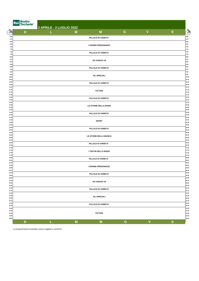|                   | Radio<br>Rai<br>Techete' | 3 APRILE - 2 LUGLIO 2022 |   |                        |             |                         |              |                  |  |  |
|-------------------|--------------------------|--------------------------|---|------------------------|-------------|-------------------------|--------------|------------------|--|--|
| $\circledS$       | D                        |                          | M | M                      | ${\bf G}$   | $\mathbf V$             | ${\bf S}$    | $\sum_{i=1}^{n}$ |  |  |
| 6.00<br>6.15      |                          |                          |   | PILLOLE DI VARIETA'    |             |                         |              | 6.00<br>6.15     |  |  |
| 6.30<br>6.45      |                          |                          |   |                        |             |                         |              | 6.30<br>6.45     |  |  |
| 7.00<br>7.15      |                          |                          |   | I GRANDI PERSONAGGI    |             |                         |              | 7.00<br>7.15     |  |  |
| 7.30              |                          |                          |   | PILLOLE DI VARIETA'    |             |                         |              | 7.30             |  |  |
| 7.45<br>$\bf8.00$ |                          |                          |   |                        |             |                         |              | 7.45<br>8.00     |  |  |
| 8.15<br>8.30      |                          |                          |   | VIA ASIAGO 10          |             |                         |              | 8.15<br>8.30     |  |  |
| 8.45<br>9.00      |                          |                          |   | PILLOLE DI VARIETA'    |             |                         |              | 8.45<br>9.00     |  |  |
| 9.15<br>9.30      |                          |                          |   |                        |             |                         |              | 9.15<br>9.30     |  |  |
| 9.45<br>10.00     |                          |                          |   | <b>GLI SPECIALI</b>    |             |                         |              | 9.45<br>10.00    |  |  |
| 10.15<br>10.30    |                          |                          |   |                        |             |                         |              | 10.15<br>10.30   |  |  |
| 10.45<br>11.00    |                          |                          |   | PILLOLE DI VARIETA'    |             |                         |              | 10.45<br>11.00   |  |  |
| 11.15<br>11.30    |                          | <b>FICTION</b>           |   |                        |             |                         |              |                  |  |  |
| 11.45             |                          |                          |   |                        |             |                         |              | 11.30<br>11.45   |  |  |
| 12.00<br>12.15    |                          |                          |   | PILLOLE DI VARIETA'    |             |                         |              | 12.00<br>12.15   |  |  |
| 12.30<br>12.45    |                          |                          |   | LE STORIE DELLA RADIO  |             |                         |              | 12.30<br>12.45   |  |  |
| 13.00<br>13.15    |                          |                          |   |                        |             |                         |              | 13.00<br>13.15   |  |  |
| 13.30<br>13.45    |                          |                          |   | PILLOLE DI VARIETA'    |             |                         |              | 13.30<br>13.45   |  |  |
| 14.00<br>14.15    |                          |                          |   |                        |             |                         |              | 14.00<br>14.15   |  |  |
| 14.30<br>14.45    |                          |                          |   | <b>SPORT</b>           |             |                         |              | 14.30<br>14.45   |  |  |
| 15.00<br>15.15    |                          |                          |   | PILLOLE DI VARIETA'    |             |                         |              | 15.00<br>15.15   |  |  |
| 15.30             |                          |                          |   |                        |             |                         |              | 15.30            |  |  |
| 15.45<br>16.00    |                          |                          |   | LE STORIE DELLA MUSICA |             |                         |              | 15.45<br>16.00   |  |  |
| 16.15<br>16.30    |                          |                          |   | PILLOLE DI VARIETA'    |             |                         |              | 16.15<br>16.30   |  |  |
| 16.45<br>17.00    |                          |                          |   |                        |             |                         |              | 16.45<br>17.00   |  |  |
| 17.15<br>17.30    |                          |                          |   | I TEATRI DELLA RADIO   |             |                         |              | 17.15<br>17.30   |  |  |
| 17.45<br>18.00    |                          |                          |   |                        |             |                         |              | 17.45<br>18.00   |  |  |
| 18.15<br>18.30    |                          |                          |   | PILLOLE DI VARIETA'    |             |                         |              | 18.15<br>18.30   |  |  |
| 18.45<br>19.00    |                          |                          |   | I GRANDI PERSONAGGI    |             |                         |              | 18.45<br>19.00   |  |  |
| 19.15             |                          |                          |   |                        |             |                         |              | 19.15<br>19.30   |  |  |
| 19.30<br>19.45    |                          |                          |   | PILLOLE DI VARIETA'    |             |                         |              | 19.45            |  |  |
| 20.00<br>20.15    |                          |                          |   | VIA ASIAGO 10          |             |                         |              | 20.00<br>20.15   |  |  |
| 20.30<br>20.45    |                          |                          |   |                        |             |                         |              | 20.30<br>20.45   |  |  |
| 21.00<br>21.15    |                          |                          |   | PILLOLE DI VARIETA'    |             |                         |              | 21.00<br>21.15   |  |  |
| 21.30<br>21.45    |                          |                          |   |                        |             |                         |              | 21.30<br>21.45   |  |  |
| 22.00<br>22.15    |                          |                          |   | <b>GLI SPECIALI</b>    |             |                         |              | 22.00<br>22.15   |  |  |
| 22.30<br>22.45    |                          |                          |   | PILLOLE DI VARIETA'    |             |                         |              | 22.30<br>22.45   |  |  |
| 23.00             |                          |                          |   |                        |             |                         |              | 23.00            |  |  |
| 23.15<br>23.30    |                          |                          |   | <b>FICTION</b>         |             |                         |              | 23.15<br>23.30   |  |  |
| 23.45<br>24.00    |                          |                          |   |                        |             |                         |              | 23.45<br>24.00   |  |  |
|                   | D                        | L.                       | M | M                      | $\mathbf G$ | $\overline{\mathsf{V}}$ | $\mathbf{s}$ |                  |  |  |